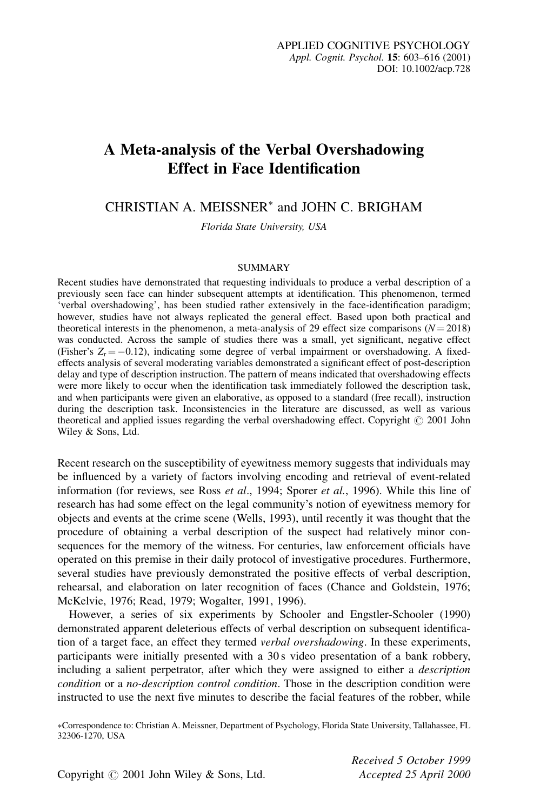# A Meta-analysis of the Verbal Overshadowing **Effect in Face Identification**

CHRISTIAN A. MEISSNER<sup>\*</sup> and JOHN C. BRIGHAM

Florida State University, USA

#### **SUMMARY**

Recent studies have demonstrated that requesting individuals to produce a verbal description of a previously seen face can hinder subsequent attempts at identification. This phenomenon, termed 'verbal overshadowing', has been studied rather extensively in the face-identification paradigm; however, studies have not always replicated the general effect. Based upon both practical and theoretical interests in the phenomenon, a meta-analysis of 29 effect size comparisons  $(N = 2018)$ was conducted. Across the sample of studies there was a small, yet significant, negative effect (Fisher's  $Z_r = -0.12$ ), indicating some degree of verbal impairment or overshadowing. A fixedeffects analysis of several moderating variables demonstrated a significant effect of post-description delay and type of description instruction. The pattern of means indicated that overshadowing effects were more likely to occur when the identification task immediately followed the description task, and when participants were given an elaborative, as opposed to a standard (free recall), instruction during the description task. Inconsistencies in the literature are discussed, as well as various theoretical and applied issues regarding the verbal overshadowing effect. Copyright © 2001 John Wiley & Sons, Ltd.

Recent research on the susceptibility of eyewitness memory suggests that individuals may be influenced by a variety of factors involving encoding and retrieval of event-related information (for reviews, see Ross et al., 1994; Sporer et al., 1996). While this line of research has had some effect on the legal community's notion of eyewitness memory for objects and events at the crime scene (Wells, 1993), until recently it was thought that the procedure of obtaining a verbal description of the suspect had relatively minor consequences for the memory of the witness. For centuries, law enforcement officials have operated on this premise in their daily protocol of investigative procedures. Furthermore, several studies have previously demonstrated the positive effects of verbal description, rehearsal, and elaboration on later recognition of faces (Chance and Goldstein, 1976; McKelvie, 1976; Read, 1979; Wogalter, 1991, 1996).

However, a series of six experiments by Schooler and Engstler-Schooler (1990) demonstrated apparent deleterious effects of verbal description on subsequent identification of a target face, an effect they termed *verbal overshadowing*. In these experiments, participants were initially presented with a 30s video presentation of a bank robbery, including a salient perpetrator, after which they were assigned to either a *description* condition or a no-description control condition. Those in the description condition were instructed to use the next five minutes to describe the facial features of the robber, while

\*Correspondence to: Christian A. Meissner, Department of Psychology, Florida State University, Tallahassee, FL 32306-1270, USA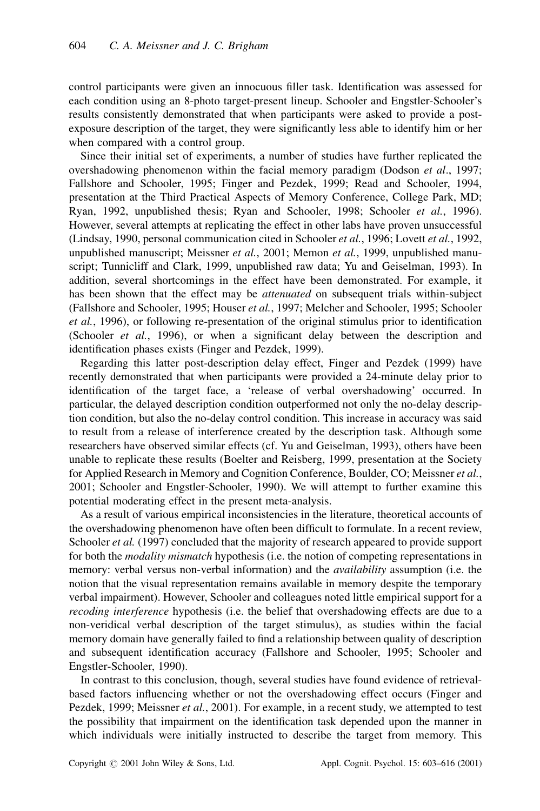control participants were given an innocuous filler task. Identification was assessed for each condition using an 8-photo target-present lineup. Schooler and Engstler-Schooler's results consistently demonstrated that when participants were asked to provide a postexposure description of the target, they were significantly less able to identify him or her when compared with a control group.

Since their initial set of experiments, a number of studies have further replicated the overshadowing phenomenon within the facial memory paradigm (Dodson et al., 1997; Fallshore and Schooler, 1995; Finger and Pezdek, 1999; Read and Schooler, 1994, presentation at the Third Practical Aspects of Memory Conference, College Park, MD; Ryan, 1992, unpublished thesis; Ryan and Schooler, 1998; Schooler et al., 1996). However, several attempts at replicating the effect in other labs have proven unsuccessful (Lindsay, 1990, personal communication cited in Schooler et al., 1996; Lovett et al., 1992, unpublished manuscript; Meissner et al., 2001; Memon et al., 1999, unpublished manuscript; Tunnicliff and Clark, 1999, unpublished raw data; Yu and Geiselman, 1993). In addition, several shortcomings in the effect have been demonstrated. For example, it has been shown that the effect may be *attenuated* on subsequent trials within-subject (Fallshore and Schooler, 1995; Houser et al., 1997; Melcher and Schooler, 1995; Schooler et al., 1996), or following re-presentation of the original stimulus prior to identification (Schooler et al., 1996), or when a significant delay between the description and identification phases exists (Finger and Pezdek, 1999).

Regarding this latter post-description delay effect, Finger and Pezdek (1999) have recently demonstrated that when participants were provided a 24-minute delay prior to identification of the target face, a 'release of verbal overshadowing' occurred. In particular, the delayed description condition outperformed not only the no-delay description condition, but also the no-delay control condition. This increase in accuracy was said to result from a release of interference created by the description task. Although some researchers have observed similar effects (cf. Yu and Geiselman, 1993), others have been unable to replicate these results (Boelter and Reisberg, 1999, presentation at the Society for Applied Research in Memory and Cognition Conference, Boulder, CO; Meissner et al., 2001; Schooler and Engstler-Schooler, 1990). We will attempt to further examine this potential moderating effect in the present meta-analysis.

As a result of various empirical inconsistencies in the literature, theoretical accounts of the overshadowing phenomenon have often been difficult to formulate. In a recent review, Schooler et al. (1997) concluded that the majority of research appeared to provide support for both the *modality mismatch* hypothesis (i.e. the notion of competing representations in memory: verbal versus non-verbal information) and the *availability* assumption (i.e. the notion that the visual representation remains available in memory despite the temporary verbal impairment). However, Schooler and colleagues noted little empirical support for a *recoding interference* hypothesis (i.e. the belief that overshadowing effects are due to a non-veridical verbal description of the target stimulus), as studies within the facial memory domain have generally failed to find a relationship between quality of description and subsequent identification accuracy (Fallshore and Schooler, 1995; Schooler and Engstler-Schooler, 1990).

In contrast to this conclusion, though, several studies have found evidence of retrievalbased factors influencing whether or not the overshadowing effect occurs (Finger and Pezdek, 1999; Meissner et al., 2001). For example, in a recent study, we attempted to test the possibility that impairment on the identification task depended upon the manner in which individuals were initially instructed to describe the target from memory. This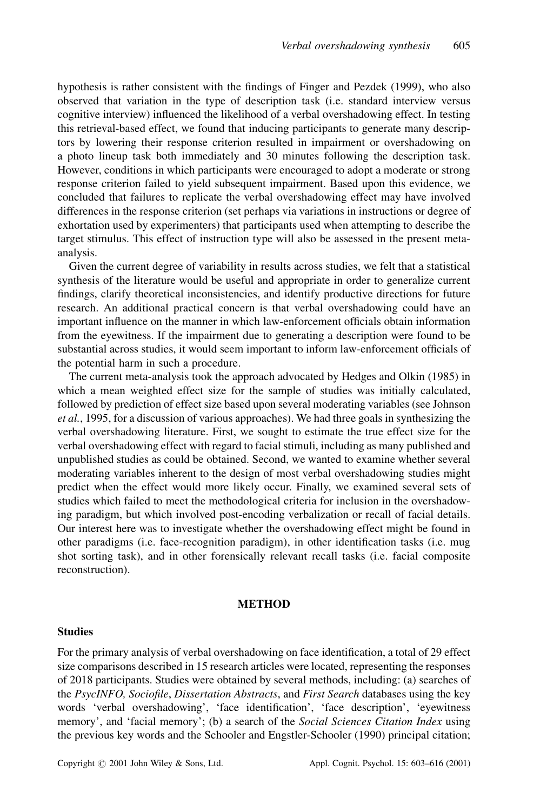hypothesis is rather consistent with the findings of Finger and Pezdek (1999), who also observed that variation in the type of description task (*i.e.* standard interview versus cognitive interview) influenced the likelihood of a verbal overshadowing effect. In testing this retrieval-based effect, we found that inducing participants to generate many descriptors by lowering their response criterion resulted in impairment or overshadowing on a photo lineup task both immediately and 30 minutes following the description task. However, conditions in which participants were encouraged to adopt a moderate or strong response criterion failed to yield subsequent impairment. Based upon this evidence, we concluded that failures to replicate the verbal overshadowing effect may have involved differences in the response criterion (set perhaps via variations in instructions or degree of exhortation used by experimenters) that participants used when attempting to describe the target stimulus. This effect of instruction type will also be assessed in the present metaanalysis.

Given the current degree of variability in results across studies, we felt that a statistical synthesis of the literature would be useful and appropriate in order to generalize current findings, clarify theoretical inconsistencies, and identify productive directions for future research. An additional practical concern is that verbal overshadowing could have an important influence on the manner in which law-enforcement officials obtain information from the evewitness. If the impairment due to generating a description were found to be substantial across studies, it would seem important to inform law-enforcement officials of the potential harm in such a procedure.

The current meta-analysis took the approach advocated by Hedges and Olkin (1985) in which a mean weighted effect size for the sample of studies was initially calculated, followed by prediction of effect size based upon several moderating variables (see Johnson et al., 1995, for a discussion of various approaches). We had three goals in synthesizing the verbal overshadowing literature. First, we sought to estimate the true effect size for the verbal overshadowing effect with regard to facial stimuli, including as many published and unpublished studies as could be obtained. Second, we wanted to examine whether several moderating variables inherent to the design of most verbal overshadowing studies might predict when the effect would more likely occur. Finally, we examined several sets of studies which failed to meet the methodological criteria for inclusion in the overshadowing paradigm, but which involved post-encoding verbalization or recall of facial details. Our interest here was to investigate whether the overshadowing effect might be found in other paradigms (i.e. face-recognition paradigm), in other identification tasks (i.e. mug shot sorting task), and in other forensically relevant recall tasks (i.e. facial composite reconstruction).

## **METHOD**

#### **Studies**

For the primary analysis of verbal overshadowing on face identification, a total of 29 effect size comparisons described in 15 research articles were located, representing the responses of 2018 participants. Studies were obtained by several methods, including: (a) searches of the PsycINFO, Sociofile, Dissertation Abstracts, and First Search databases using the key words 'verbal overshadowing', 'face identification', 'face description', 'eyewitness memory', and 'facial memory'; (b) a search of the Social Sciences Citation Index using the previous key words and the Schooler and Engstler-Schooler (1990) principal citation;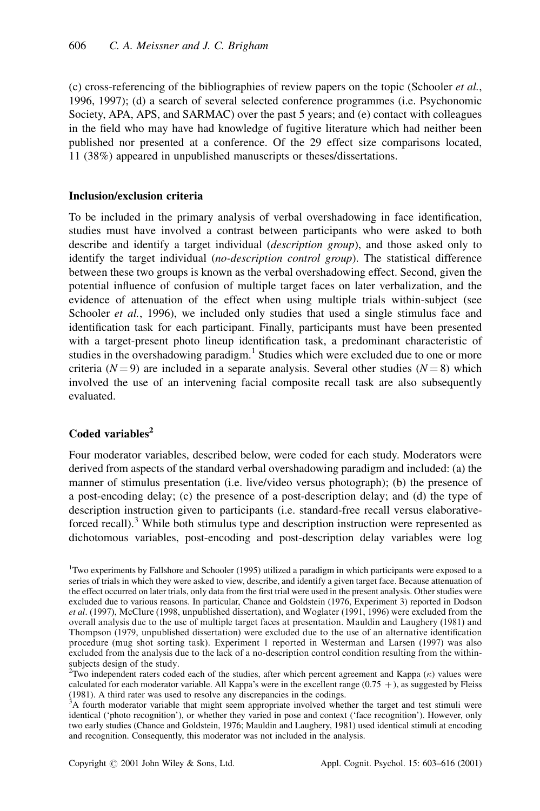(c) cross-referencing of the bibliographies of review papers on the topic (Schooler *et al.*, 1996, 1997); (d) a search of several selected conference programmes (i.e. Psychonomic Society, APA, APS, and SARMAC) over the past 5 years; and (e) contact with colleagues in the field who may have had knowledge of fugitive literature which had neither been published nor presented at a conference. Of the 29 effect size comparisons located, 11 (38%) appeared in unpublished manuscripts or theses/dissertations.

## **Inclusion/exclusion criteria**

To be included in the primary analysis of verbal overshadowing in face identification, studies must have involved a contrast between participants who were asked to both describe and identify a target individual *(description group)*, and those asked only to identify the target individual (no-description control group). The statistical difference between these two groups is known as the verbal overshadowing effect. Second, given the potential influence of confusion of multiple target faces on later verbalization, and the evidence of attenuation of the effect when using multiple trials within-subject (see Schooler *et al.*, 1996), we included only studies that used a single stimulus face and identification task for each participant. Finally, participants must have been presented with a target-present photo lineup identification task, a predominant characteristic of studies in the overshadowing paradigm.<sup>1</sup> Studies which were excluded due to one or more criteria ( $N=9$ ) are included in a separate analysis. Several other studies ( $N=8$ ) which involved the use of an intervening facial composite recall task are also subsequently evaluated.

## Coded variables<sup>2</sup>

Four moderator variables, described below, were coded for each study. Moderators were derived from aspects of the standard verbal overshadowing paradigm and included: (a) the manner of stimulus presentation (i.e. live/video versus photograph); (b) the presence of a post-encoding delay; (c) the presence of a post-description delay; and (d) the type of description instruction given to participants (i.e. standard-free recall versus elaborativeforced recall).<sup>3</sup> While both stimulus type and description instruction were represented as dichotomous variables, post-encoding and post-description delay variables were log

<sup>&</sup>lt;sup>1</sup>Two experiments by Fallshore and Schooler (1995) utilized a paradigm in which participants were exposed to a series of trials in which they were asked to view, describe, and identify a given target face. Because attenuation of the effect occurred on later trials, only data from the first trial were used in the present analysis. Other studies were excluded due to various reasons. In particular, Chance and Goldstein (1976, Experiment 3) reported in Dodson et al. (1997), McClure (1998, unpublished dissertation), and Woglater (1991, 1996) were excluded from the overall analysis due to the use of multiple target faces at presentation. Mauldin and Laughery (1981) and Thompson (1979, unpublished dissertation) were excluded due to the use of an alternative identification procedure (mug shot sorting task). Experiment 1 reported in Westerman and Larsen (1997) was also excluded from the analysis due to the lack of a no-description control condition resulting from the withinsubjects design of the study.

<sup>&</sup>lt;sup>2</sup>Two independent raters coded each of the studies, after which percent agreement and Kappa ( $\kappa$ ) values were calculated for each moderator variable. All Kappa's were in the excellent range  $(0.75 +)$ , as suggested by Fleiss (1981). A third rater was used to resolve any discrepancies in the codings.

 $3A$  fourth moderator variable that might seem appropriate involved whether the target and test stimuli were identical ('photo recognition'), or whether they varied in pose and context ('face recognition'). However, only two early studies (Chance and Goldstein, 1976; Mauldin and Laughery, 1981) used identical stimuli at encoding and recognition. Consequently, this moderator was not included in the analysis.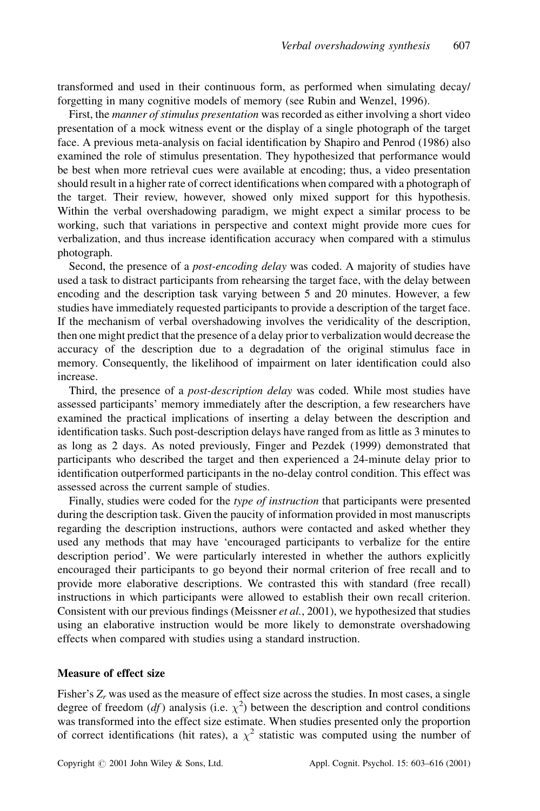transformed and used in their continuous form, as performed when simulating decay/ forgetting in many cognitive models of memory (see Rubin and Wenzel, 1996).

First, the manner of stimulus presentation was recorded as either involving a short video presentation of a mock witness event or the display of a single photograph of the target face. A previous meta-analysis on facial identification by Shapiro and Penrod (1986) also examined the role of stimulus presentation. They hypothesized that performance would be best when more retrieval cues were available at encoding; thus, a video presentation should result in a higher rate of correct identifications when compared with a photograph of the target. Their review, however, showed only mixed support for this hypothesis. Within the verbal overshadowing paradigm, we might expect a similar process to be working, such that variations in perspective and context might provide more cues for verbalization, and thus increase identification accuracy when compared with a stimulus photograph.

Second, the presence of a *post-encoding delay* was coded. A majority of studies have used a task to distract participants from rehearsing the target face, with the delay between encoding and the description task varying between 5 and 20 minutes. However, a few studies have immediately requested participants to provide a description of the target face. If the mechanism of verbal overshadowing involves the veridicality of the description, then one might predict that the presence of a delay prior to verbalization would decrease the accuracy of the description due to a degradation of the original stimulus face in memory. Consequently, the likelihood of impairment on later identification could also increase.

Third, the presence of a *post-description delay* was coded. While most studies have assessed participants' memory immediately after the description, a few researchers have examined the practical implications of inserting a delay between the description and identification tasks. Such post-description delays have ranged from as little as 3 minutes to as long as 2 days. As noted previously, Finger and Pezdek (1999) demonstrated that participants who described the target and then experienced a 24-minute delay prior to identification outperformed participants in the no-delay control condition. This effect was assessed across the current sample of studies.

Finally, studies were coded for the type of instruction that participants were presented during the description task. Given the paucity of information provided in most manuscripts regarding the description instructions, authors were contacted and asked whether they used any methods that may have 'encouraged participants to verbalize for the entire description period'. We were particularly interested in whether the authors explicitly encouraged their participants to go beyond their normal criterion of free recall and to provide more elaborative descriptions. We contrasted this with standard (free recall) instructions in which participants were allowed to establish their own recall criterion. Consistent with our previous findings (Meissner et al., 2001), we hypothesized that studies using an elaborative instruction would be more likely to demonstrate overshadowing effects when compared with studies using a standard instruction.

## **Measure of effect size**

Fisher's  $Z_r$  was used as the measure of effect size across the studies. In most cases, a single degree of freedom (*df*) analysis (i.e.  $\chi^2$ ) between the description and control conditions was transformed into the effect size estimate. When studies presented only the proportion of correct identifications (hit rates), a  $\chi^2$  statistic was computed using the number of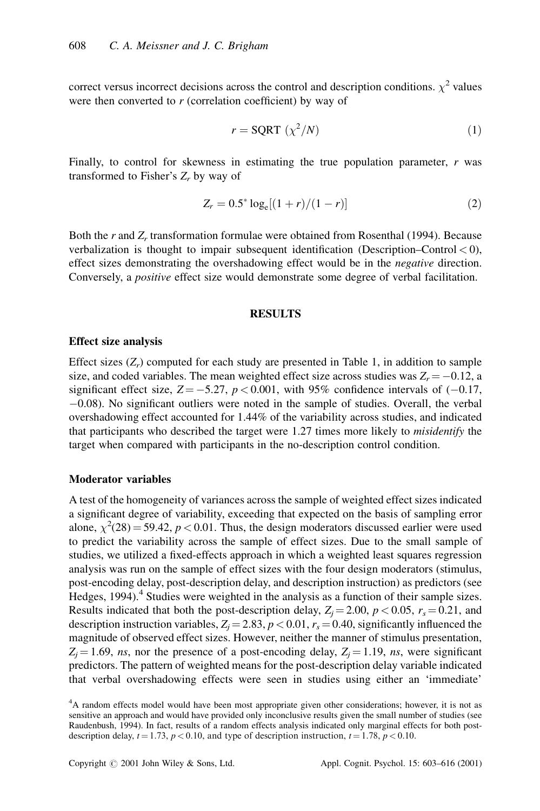correct versus incorrect decisions across the control and description conditions.  $\chi^2$  values were then converted to  $r$  (correlation coefficient) by way of

$$
r = \text{SQRT} \, (\chi^2/N) \tag{1}
$$

Finally, to control for skewness in estimating the true population parameter,  $r$  was transformed to Fisher's  $Z_r$  by way of

$$
Z_r = 0.5^* \log_e[(1+r)/(1-r)] \tag{2}
$$

Both the  $r$  and  $Z_r$  transformation formulae were obtained from Rosenthal (1994). Because verbalization is thought to impair subsequent identification (Description–Control  $<$  0), effect sizes demonstrating the overshadowing effect would be in the *negative* direction. Conversely, a *positive* effect size would demonstrate some degree of verbal facilitation.

#### **RESULTS**

#### **Effect size analysis**

Effect sizes  $(Z_r)$  computed for each study are presented in Table 1, in addition to sample size, and coded variables. The mean weighted effect size across studies was  $Z_r = -0.12$ , a significant effect size,  $Z = -5.27$ ,  $p < 0.001$ , with 95% confidence intervals of  $(-0.17)$ ,  $-0.08$ ). No significant outliers were noted in the sample of studies. Overall, the verbal overshadowing effect accounted for 1.44% of the variability across studies, and indicated that participants who described the target were 1.27 times more likely to *misidentify* the target when compared with participants in the no-description control condition.

## **Moderator variables**

A test of the homogeneity of variances across the sample of weighted effect sizes indicated a significant degree of variability, exceeding that expected on the basis of sampling error alone,  $\chi^2(28) = 59.42$ ,  $p < 0.01$ . Thus, the design moderators discussed earlier were used to predict the variability across the sample of effect sizes. Due to the small sample of studies, we utilized a fixed-effects approach in which a weighted least squares regression analysis was run on the sample of effect sizes with the four design moderators (stimulus, post-encoding delay, post-description delay, and description instruction) as predictors (see Hedges, 1994).<sup>4</sup> Studies were weighted in the analysis as a function of their sample sizes. Results indicated that both the post-description delay,  $Z_i = 2.00$ ,  $p < 0.05$ ,  $r_s = 0.21$ , and description instruction variables,  $Z_i = 2.83$ ,  $p < 0.01$ ,  $r_s = 0.40$ , significantly influenced the magnitude of observed effect sizes. However, neither the manner of stimulus presentation,  $Z_i = 1.69$ , ns, nor the presence of a post-encoding delay,  $Z_i = 1.19$ , ns, were significant predictors. The pattern of weighted means for the post-description delay variable indicated that verbal overshadowing effects were seen in studies using either an 'immediate'

<sup>&</sup>lt;sup>4</sup>A random effects model would have been most appropriate given other considerations; however, it is not as sensitive an approach and would have provided only inconclusive results given the small number of studies (see Raudenbush, 1994). In fact, results of a random effects analysis indicated only marginal effects for both postdescription delay,  $t = 1.73$ ,  $p < 0.10$ , and type of description instruction,  $t = 1.78$ ,  $p < 0.10$ .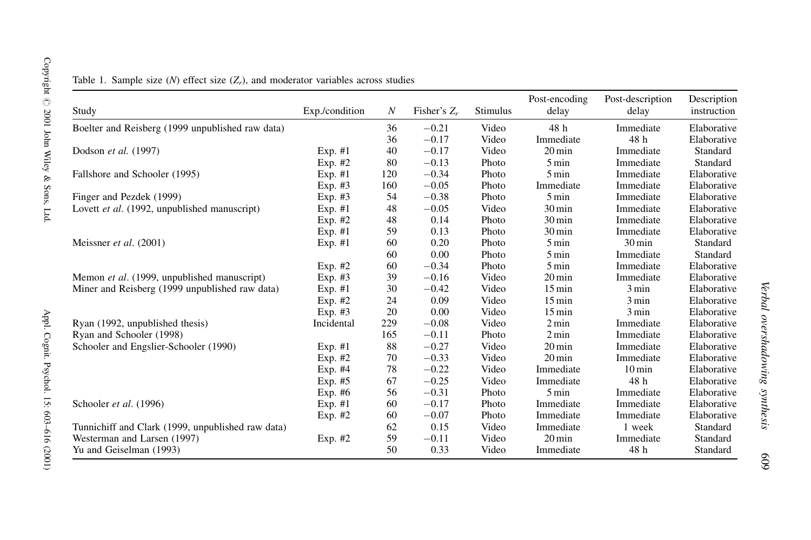| Study                                             | Exp./condition | $\boldsymbol{N}$ | Fisher's $Z_r$ | Stimulus | Post-encoding<br>delay | Post-description<br>delay | Description<br>instruction |
|---------------------------------------------------|----------------|------------------|----------------|----------|------------------------|---------------------------|----------------------------|
| Boelter and Reisberg (1999 unpublished raw data)  |                | 36               | $-0.21$        | Video    | 48 h                   | Immediate                 | Elaborative                |
|                                                   |                | 36               | $-0.17$        | Video    | Immediate              | 48 h                      | Elaborative                |
| Dodson et al. (1997)                              | $Exp. \#1$     | 40               | $-0.17$        | Video    | $20 \,\mathrm{min}$    | Immediate                 | Standard                   |
|                                                   | Exp. $#2$      | 80               | $-0.13$        | Photo    | $5 \text{ min}$        | Immediate                 | Standard                   |
| Fallshore and Schooler (1995)                     | $Exp. \#1$     | 120              | $-0.34$        | Photo    | $5 \,\mathrm{min}$     | Immediate                 | Elaborative                |
|                                                   | $Exp. \#3$     | 160              | $-0.05$        | Photo    | Immediate              | Immediate                 | Elaborative                |
| Finger and Pezdek (1999)                          | Exp. #3        | 54               | $-0.38$        | Photo    | $5 \text{ min}$        | Immediate                 | Elaborative                |
| Lovett et al. (1992, unpublished manuscript)      | $Exp. \#1$     | 48               | $-0.05$        | Video    | $30 \,\mathrm{min}$    | Immediate                 | Elaborative                |
|                                                   | Exp. #2        | 48               | 0.14           | Photo    | $30 \,\mathrm{min}$    | Immediate                 | Elaborative                |
|                                                   | Exp. #1        | 59               | 0.13           | Photo    | $30 \,\mathrm{min}$    | Immediate                 | Elaborative                |
| Meissner et al. (2001)                            | $Exp. \#1$     | 60               | 0.20           | Photo    | $5 \text{ min}$        | $30 \,\mathrm{min}$       | Standard                   |
|                                                   |                | 60               | 0.00           | Photo    | 5 min                  | Immediate                 | Standard                   |
|                                                   | Exp. #2        | 60               | $-0.34$        | Photo    | $5 \text{ min}$        | Immediate                 | Elaborative                |
| Memon et al. (1999, unpublished manuscript)       | $Exp. \#3$     | 39               | $-0.16$        | Video    | $20 \,\mathrm{min}$    | Immediate                 | Elaborative                |
| Miner and Reisberg (1999 unpublished raw data)    | $Exp. \#1$     | 30               | $-0.42$        | Video    | $15 \,\mathrm{min}$    | $3 \text{ min}$           | Elaborative                |
|                                                   | Exp. $#2$      | 24               | 0.09           | Video    | $15 \,\mathrm{min}$    | 3 min                     | Elaborative                |
|                                                   | $Exp. \#3$     | 20               | 0.00           | Video    | $15 \,\mathrm{min}$    | 3 min                     | Elaborative                |
| Ryan (1992, unpublished thesis)                   | Incidental     | 229              | $-0.08$        | Video    | $2 \text{ min}$        | Immediate                 | Elaborative                |
| Ryan and Schooler (1998)                          |                | 165              | $-0.11$        | Photo    | $2 \text{ min}$        | Immediate                 | Elaborative                |
| Schooler and Engslier-Schooler (1990)             | $Exp. \#1$     | 88               | $-0.27$        | Video    | $20 \,\mathrm{min}$    | Immediate                 | Elaborative                |
|                                                   | Exp. $#2$      | 70               | $-0.33$        | Video    | $20 \,\mathrm{min}$    | Immediate                 | Elaborative                |
|                                                   | Exp. #4        | 78               | $-0.22$        | Video    | Immediate              | $10 \,\mathrm{min}$       | Elaborative                |
|                                                   | Exp. #5        | 67               | $-0.25$        | Video    | Immediate              | 48 h                      | Elaborative                |
|                                                   | Exp. #6        | 56               | $-0.31$        | Photo    | $5 \text{ min}$        | Immediate                 | Elaborative                |
| Schooler et al. (1996)                            | $Exp. \#1$     | 60               | $-0.17$        | Photo    | Immediate              | Immediate                 | Elaborative                |
|                                                   | Exp. #2        | 60               | $-0.07$        | Photo    | Immediate              | Immediate                 | Elaborative                |
| Tunnichiff and Clark (1999, unpublished raw data) |                | 62               | 0.15           | Video    | Immediate              | 1 week                    | Standard                   |
| Westerman and Larsen (1997)                       | Exp. $#2$      | 59               | $-0.11$        | Video    | $20 \,\mathrm{min}$    | Immediate                 | Standard                   |
| Yu and Geiselman (1993)                           |                | 50               | 0.33           | Video    | Immediate              | 48 h                      | Standard                   |

Table 1. Sample size  $(N)$  effect size  $(Z_r)$ , and moderator variables across studies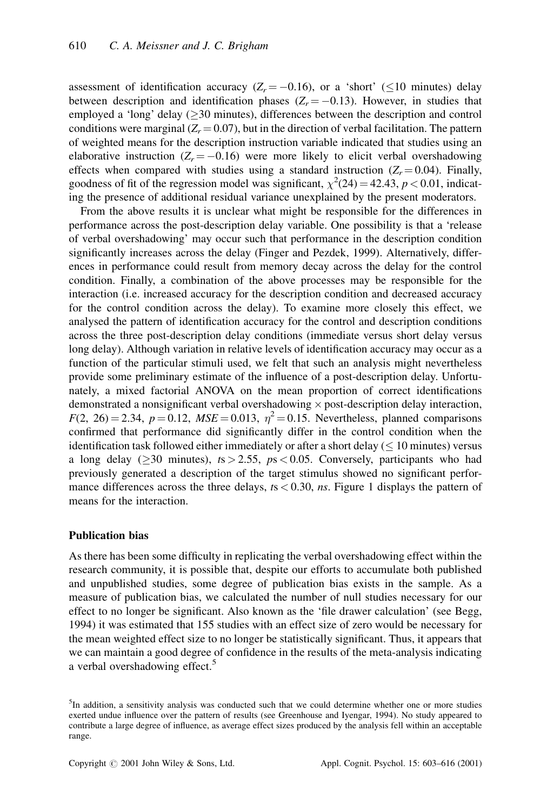assessment of identification accuracy ( $Z_r = -0.16$ ), or a 'short' ( $\leq 10$  minutes) delay between description and identification phases  $(Z_r = -0.13)$ . However, in studies that employed a 'long' delay ( $\geq$ 30 minutes), differences between the description and control conditions were marginal  $(Z_r = 0.07)$ , but in the direction of verbal facilitation. The pattern of weighted means for the description instruction variable indicated that studies using an elaborative instruction ( $Z_r = -0.16$ ) were more likely to elicit verbal overshadowing effects when compared with studies using a standard instruction  $(Z_r = 0.04)$ . Finally, goodness of fit of the regression model was significant,  $\chi^2(24) = 42.43$ ,  $p < 0.01$ , indicating the presence of additional residual variance unexplained by the present moderators.

From the above results it is unclear what might be responsible for the differences in performance across the post-description delay variable. One possibility is that a 'release of verbal overshadowing' may occur such that performance in the description condition significantly increases across the delay (Finger and Pezdek, 1999). Alternatively, differences in performance could result from memory decay across the delay for the control condition. Finally, a combination of the above processes may be responsible for the interaction (i.e. increased accuracy for the description condition and decreased accuracy for the control condition across the delay). To examine more closely this effect, we analysed the pattern of identification accuracy for the control and description conditions across the three post-description delay conditions (immediate versus short delay versus long delay). Although variation in relative levels of identification accuracy may occur as a function of the particular stimuli used, we felt that such an analysis might nevertheless provide some preliminary estimate of the influence of a post-description delay. Unfortunately, a mixed factorial ANOVA on the mean proportion of correct identifications demonstrated a nonsignificant verbal overshadowing × post-description delay interaction,  $F(2, 26) = 2.34$ ,  $p = 0.12$ ,  $MSE = 0.013$ ,  $\eta^2 = 0.15$ . Nevertheless, planned comparisons confirmed that performance did significantly differ in the control condition when the identification task followed either immediately or after a short delay  $( \leq 10 \text{ minutes})$  versus a long delay ( $\geq$ 30 minutes), ts > 2.55, ps < 0.05. Conversely, participants who had previously generated a description of the target stimulus showed no significant performance differences across the three delays,  $ts < 0.30$ , ns. Figure 1 displays the pattern of means for the interaction.

## **Publication bias**

As there has been some difficulty in replicating the verbal overshadowing effect within the research community, it is possible that, despite our efforts to accumulate both published and unpublished studies, some degree of publication bias exists in the sample. As a measure of publication bias, we calculated the number of null studies necessary for our effect to no longer be significant. Also known as the 'file drawer calculation' (see Begg, 1994) it was estimated that 155 studies with an effect size of zero would be necessary for the mean weighted effect size to no longer be statistically significant. Thus, it appears that we can maintain a good degree of confidence in the results of the meta-analysis indicating a verbal overshadowing effect.<sup>5</sup>

<sup>&</sup>lt;sup>5</sup>In addition, a sensitivity analysis was conducted such that we could determine whether one or more studies exerted undue influence over the pattern of results (see Greenhouse and Iyengar, 1994). No study appeared to contribute a large degree of influence, as average effect sizes produced by the analysis fell within an acceptable range.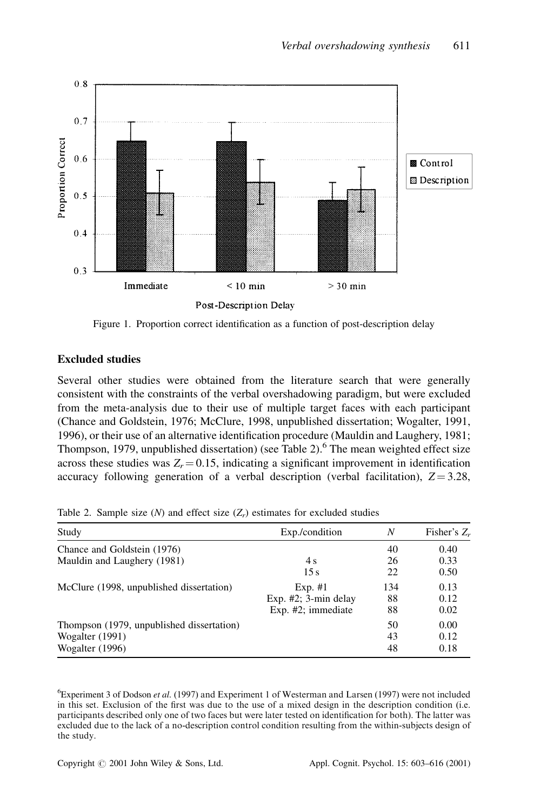

Figure 1. Proportion correct identification as a function of post-description delay

# **Excluded studies**

Several other studies were obtained from the literature search that were generally consistent with the constraints of the verbal overshadowing paradigm, but were excluded from the meta-analysis due to their use of multiple target faces with each participant (Chance and Goldstein, 1976; McClure, 1998, unpublished dissertation; Wogalter, 1991, 1996), or their use of an alternative identification procedure (Mauldin and Laughery, 1981; Thompson, 1979, unpublished dissertation) (see Table 2).<sup>6</sup> The mean weighted effect size across these studies was  $Z_r = 0.15$ , indicating a significant improvement in identification accuracy following generation of a verbal description (verbal facilitation),  $Z = 3.28$ ,

|  | Table 2. Sample size (N) and effect size $(Z_r)$ estimates for excluded studies |  |  |  |
|--|---------------------------------------------------------------------------------|--|--|--|
|  |                                                                                 |  |  |  |

| Study                                     | Exp./condition          | N   | Fisher's Z, |  |
|-------------------------------------------|-------------------------|-----|-------------|--|
| Chance and Goldstein (1976)               |                         | 40  | 0.40        |  |
| Mauldin and Laughery (1981)               | 4 s                     | 26  | 0.33        |  |
|                                           | 15s                     | 22  | 0.50        |  |
| McClure (1998, unpublished dissertation)  | $Exp. \#1$              | 134 | 0.13        |  |
|                                           | Exp. $#2$ ; 3-min delay | 88  | 0.12        |  |
|                                           | Exp. $#2$ ; immediate   | 88  | 0.02        |  |
| Thompson (1979, unpublished dissertation) |                         | 50  | 0.00        |  |
| Wogalter (1991)                           |                         | 43  | 0.12        |  |
| Wogalter (1996)                           |                         | 48  | 0.18        |  |
|                                           |                         |     |             |  |

 ${}^6$ Experiment 3 of Dodson et al. (1997) and Experiment 1 of Westerman and Larsen (1997) were not included in this set. Exclusion of the first was due to the use of a mixed design in the description condition (i.e. participants described only one of two faces but were later tested on identification for both). The latter was excluded due to the lack of a no-description control condition resulting from the within-subjects design of the study.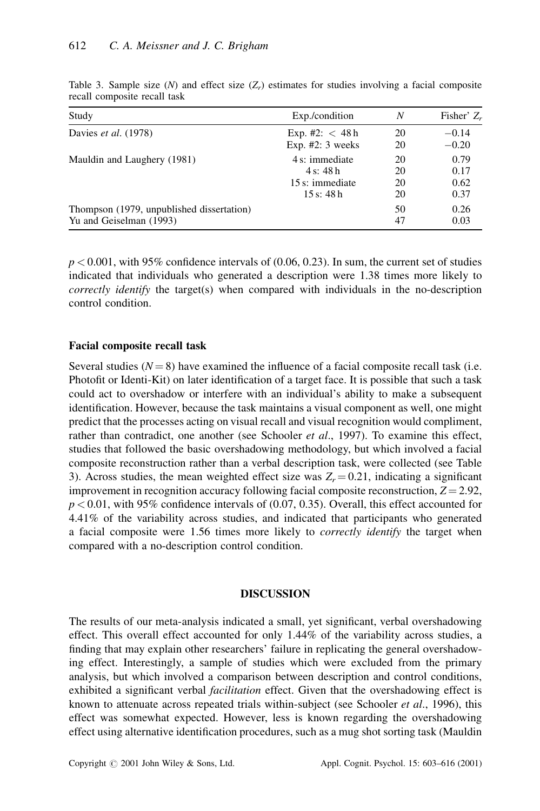| Study                                     | Exp./condition    | N  | Fisher' $Z_r$ |
|-------------------------------------------|-------------------|----|---------------|
| Davies et al. (1978)                      | Exp. #2: $<$ 48 h | 20 | $-0.14$       |
|                                           | Exp. $#2:3$ weeks | 20 | $-0.20$       |
| Mauldin and Laughery (1981)               | 4 s: immediate    | 20 | 0.79          |
|                                           | 4 s: 48 h         | 20 | 0.17          |
|                                           | 15 s: immediate   | 20 | 0.62          |
|                                           | 15 s: 48 h        | 20 | 0.37          |
| Thompson (1979, unpublished dissertation) |                   | 50 | 0.26          |
| Yu and Geiselman (1993)                   |                   | 47 | 0.03          |

Table 3. Sample size (N) and effect size  $(Z_r)$  estimates for studies involving a facial composite recall composite recall task

 $p < 0.001$ , with 95% confidence intervals of (0.06, 0.23). In sum, the current set of studies indicated that individuals who generated a description were 1.38 times more likely to *correctly identify* the target(s) when compared with individuals in the no-description control condition.

## **Facial composite recall task**

Several studies ( $N = 8$ ) have examined the influence of a facial composite recall task (i.e. Photofit or Identi-Kit) on later identification of a target face. It is possible that such a task could act to overshadow or interfere with an individual's ability to make a subsequent identification. However, because the task maintains a visual component as well, one might predict that the processes acting on visual recall and visual recognition would compliment, rather than contradict, one another (see Schooler et al., 1997). To examine this effect, studies that followed the basic overshadowing methodology, but which involved a facial composite reconstruction rather than a verbal description task, were collected (see Table 3). Across studies, the mean weighted effect size was  $Z_r = 0.21$ , indicating a significant improvement in recognition accuracy following facial composite reconstruction,  $Z = 2.92$ ,  $p < 0.01$ , with 95% confidence intervals of (0.07, 0.35). Overall, this effect accounted for 4.41% of the variability across studies, and indicated that participants who generated a facial composite were 1.56 times more likely to *correctly identify* the target when compared with a no-description control condition.

## **DISCUSSION**

The results of our meta-analysis indicated a small, yet significant, verbal overshadowing effect. This overall effect accounted for only 1.44% of the variability across studies, a finding that may explain other researchers' failure in replicating the general overshadowing effect. Interestingly, a sample of studies which were excluded from the primary analysis, but which involved a comparison between description and control conditions, exhibited a significant verbal *facilitation* effect. Given that the overshadowing effect is known to attenuate across repeated trials within-subject (see Schooler *et al.*, 1996), this effect was somewhat expected. However, less is known regarding the overshadowing effect using alternative identification procedures, such as a mug shot sorting task (Mauldin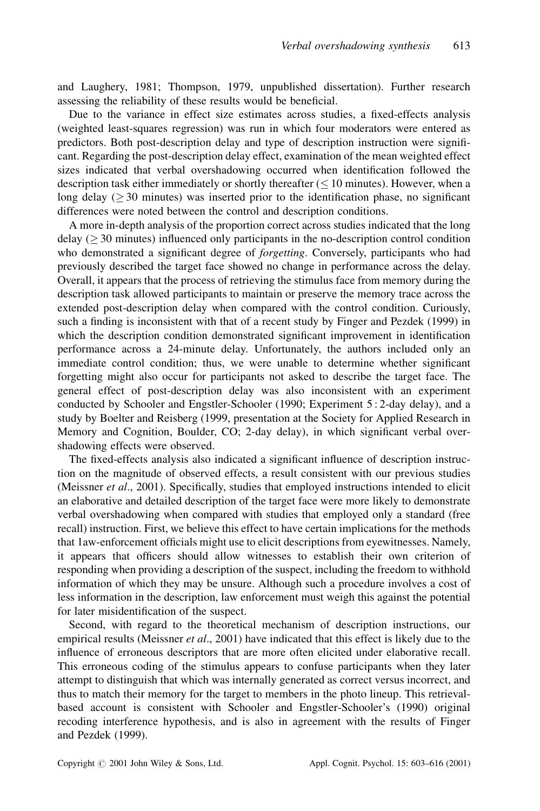and Laughery, 1981; Thompson, 1979, unpublished dissertation). Further research assessing the reliability of these results would be beneficial.

Due to the variance in effect size estimates across studies, a fixed-effects analysis (weighted least-squares regression) was run in which four moderators were entered as predictors. Both post-description delay and type of description instruction were significant. Regarding the post-description delay effect, examination of the mean weighted effect sizes indicated that verbal overshadowing occurred when identification followed the description task either immediately or shortly thereafter  $(< 10$  minutes). However, when a long delay ( $\geq$  30 minutes) was inserted prior to the identification phase, no significant differences were noted between the control and description conditions.

A more in-depth analysis of the proportion correct across studies indicated that the long delay  $($  > 30 minutes) influenced only participants in the no-description control condition who demonstrated a significant degree of *forgetting*. Conversely, participants who had previously described the target face showed no change in performance across the delay. Overall, it appears that the process of retrieving the stimulus face from memory during the description task allowed participants to maintain or preserve the memory trace across the extended post-description delay when compared with the control condition. Curiously, such a finding is inconsistent with that of a recent study by Finger and Pezdek (1999) in which the description condition demonstrated significant improvement in identification performance across a 24-minute delay. Unfortunately, the authors included only an immediate control condition; thus, we were unable to determine whether significant forgetting might also occur for participants not asked to describe the target face. The general effect of post-description delay was also inconsistent with an experiment conducted by Schooler and Engstler-Schooler (1990; Experiment 5:2-day delay), and a study by Boelter and Reisberg (1999, presentation at the Society for Applied Research in Memory and Cognition, Boulder, CO; 2-day delay), in which significant verbal overshadowing effects were observed.

The fixed-effects analysis also indicated a significant influence of description instruction on the magnitude of observed effects, a result consistent with our previous studies (Meissner et al., 2001). Specifically, studies that employed instructions intended to elicit an elaborative and detailed description of the target face were more likely to demonstrate verbal overshadowing when compared with studies that employed only a standard (free recall) instruction. First, we believe this effect to have certain implications for the methods that 1aw-enforcement officials might use to elicit descriptions from eyewitnesses. Namely, it appears that officers should allow witnesses to establish their own criterion of responding when providing a description of the suspect, including the freedom to withhold information of which they may be unsure. Although such a procedure involves a cost of less information in the description, law enforcement must weigh this against the potential for later misidentification of the suspect.

Second, with regard to the theoretical mechanism of description instructions, our empirical results (Meissner *et al.*, 2001) have indicated that this effect is likely due to the influence of erroneous descriptors that are more often elicited under elaborative recall. This erroneous coding of the stimulus appears to confuse participants when they later attempt to distinguish that which was internally generated as correct versus incorrect, and thus to match their memory for the target to members in the photo lineup. This retrievalbased account is consistent with Schooler and Engstler-Schooler's (1990) original recoding interference hypothesis, and is also in agreement with the results of Finger and Pezdek (1999).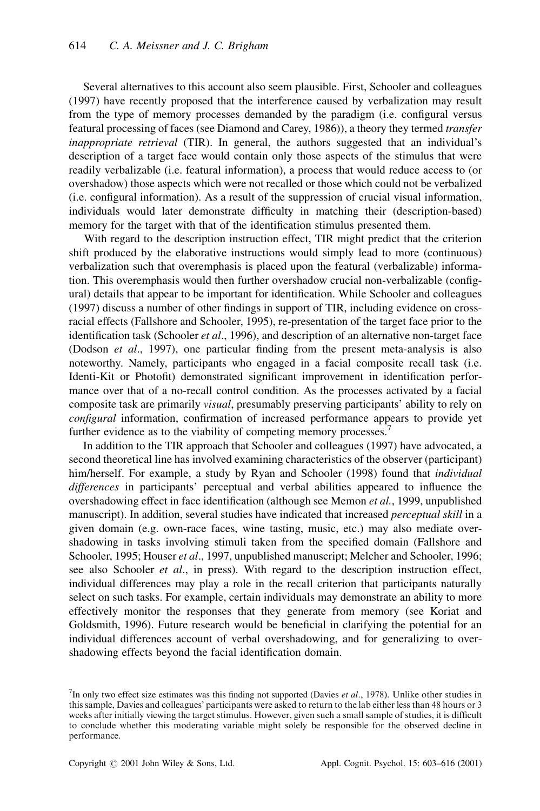Several alternatives to this account also seem plausible. First, Schooler and colleagues (1997) have recently proposed that the interference caused by verbalization may result from the type of memory processes demanded by the paradigm (i.e. configural versus featural processing of faces (see Diamond and Carey, 1986)), a theory they termed *transfer inappropriate retrieval* (TIR). In general, the authors suggested that an individual's description of a target face would contain only those aspects of the stimulus that were readily verbalizable (i.e. featural information), a process that would reduce access to (or overshadow) those aspects which were not recalled or those which could not be verbalized (i.e. configural information). As a result of the suppression of crucial visual information, individuals would later demonstrate difficulty in matching their (description-based) memory for the target with that of the identification stimulus presented them.

With regard to the description instruction effect, TIR might predict that the criterion shift produced by the elaborative instructions would simply lead to more (continuous) verbalization such that overemphasis is placed upon the featural (verbalizable) information. This overemphasis would then further overshadow crucial non-verbalizable (configural) details that appear to be important for identification. While Schooler and colleagues (1997) discuss a number of other findings in support of TIR, including evidence on crossracial effects (Fallshore and Schooler, 1995), re-presentation of the target face prior to the identification task (Schooler *et al.*, 1996), and description of an alternative non-target face (Dodson et al., 1997), one particular finding from the present meta-analysis is also noteworthy. Namely, participants who engaged in a facial composite recall task (i.e. Identi-Kit or Photofit) demonstrated significant improvement in identification performance over that of a no-recall control condition. As the processes activated by a facial composite task are primarily *visual*, presumably preserving participants' ability to rely on configural information, confirmation of increased performance appears to provide yet further evidence as to the viability of competing memory processes.

In addition to the TIR approach that Schooler and colleagues (1997) have advocated, a second theoretical line has involved examining characteristics of the observer (participant) him/herself. For example, a study by Ryan and Schooler (1998) found that *individual differences* in participants' perceptual and verbal abilities appeared to influence the overshadowing effect in face identification (although see Memon et al., 1999, unpublished manuscript). In addition, several studies have indicated that increased *perceptual skill* in a given domain (e.g. own-race faces, wine tasting, music, etc.) may also mediate overshadowing in tasks involving stimuli taken from the specified domain (Fallshore and Schooler, 1995; Houser et al., 1997, unpublished manuscript; Melcher and Schooler, 1996; see also Schooler et al., in press). With regard to the description instruction effect, individual differences may play a role in the recall criterion that participants naturally select on such tasks. For example, certain individuals may demonstrate an ability to more effectively monitor the responses that they generate from memory (see Koriat and Goldsmith, 1996). Future research would be beneficial in clarifying the potential for an individual differences account of verbal overshadowing, and for generalizing to overshadowing effects beyond the facial identification domain.

 $7$ In only two effect size estimates was this finding not supported (Davies *et al.*, 1978). Unlike other studies in this sample, Davies and colleagues' participants were asked to return to the lab either less than 48 hours or 3 weeks after initially viewing the target stimulus. However, given such a small sample of studies, it is difficult to conclude whether this moderating variable might solely be responsible for the observed decline in performance.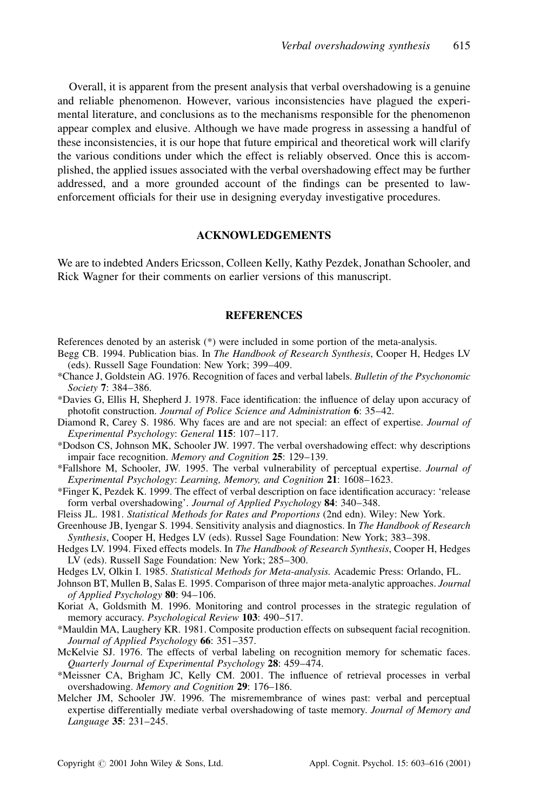Overall, it is apparent from the present analysis that verbal overshadowing is a genuine and reliable phenomenon. However, various inconsistencies have plagued the experimental literature, and conclusions as to the mechanisms responsible for the phenomenon appear complex and elusive. Although we have made progress in assessing a handful of these inconsistencies, it is our hope that future empirical and theoretical work will clarify the various conditions under which the effect is reliably observed. Once this is accomplished, the applied issues associated with the verbal overshadowing effect may be further addressed, and a more grounded account of the findings can be presented to lawenforcement officials for their use in designing everyday investigative procedures.

## **ACKNOWLEDGEMENTS**

We are to indebted Anders Ericsson, Colleen Kelly, Kathy Pezdek, Jonathan Schooler, and Rick Wagner for their comments on earlier versions of this manuscript.

#### **REFERENCES**

References denoted by an asterisk  $(*)$  were included in some portion of the meta-analysis.

- Begg CB. 1994. Publication bias. In The Handbook of Research Synthesis, Cooper H, Hedges LV (eds). Russell Sage Foundation: New York; 399–409.
- \*Chance J, Goldstein AG. 1976. Recognition of faces and verbal labels. Bulletin of the Psychonomic Society 7: 384-386.
- \*Davies G, Ellis H, Shepherd J. 1978. Face identification: the influence of delay upon accuracy of photofit construction. Journal of Police Science and Administration 6: 35-42.
- Diamond R, Carey S. 1986. Why faces are and are not special: an effect of expertise. Journal of Experimental Psychology: General 115: 107-117.
- \*Dodson CS, Johnson MK, Schooler JW, 1997. The verbal overshadowing effect: why descriptions impair face recognition. Memory and Cognition 25: 129-139.
- \*Fallshore M, Schooler, JW. 1995. The verbal vulnerability of perceptual expertise. Journal of Experimental Psychology: Learning, Memory, and Cognition 21: 1608-1623.
- \*Finger K, Pezdek K. 1999. The effect of verbal description on face identification accuracy: 'release form verbal overshadowing'. Journal of Applied Psychology 84: 340-348.

Fleiss JL. 1981. Statistical Methods for Rates and Proportions (2nd edn). Wiley: New York.

- Greenhouse JB, Iyengar S. 1994. Sensitivity analysis and diagnostics. In The Handbook of Research Synthesis, Cooper H, Hedges LV (eds). Russel Sage Foundation: New York; 383–398.
- Hedges LV. 1994. Fixed effects models. In The Handbook of Research Synthesis, Cooper H, Hedges LV (eds). Russell Sage Foundation: New York; 285-300.
- Hedges LV, Olkin I. 1985. Statistical Methods for Meta-analysis. Academic Press: Orlando, FL.
- Johnson BT, Mullen B, Salas E. 1995. Comparison of three major meta-analytic approaches. Journal of Applied Psychology 80: 94-106.
- Koriat A, Goldsmith M. 1996. Monitoring and control processes in the strategic regulation of memory accuracy. *Psychological Review* 103: 490–517.
- \*Mauldin MA, Laughery KR. 1981. Composite production effects on subsequent facial recognition. Journal of Applied Psychology 66: 351-357.
- McKelvie SJ. 1976. The effects of verbal labeling on recognition memory for schematic faces. Quarterly Journal of Experimental Psychology 28: 459-474.
- \*Meissner CA, Brigham JC, Kelly CM. 2001. The influence of retrieval processes in verbal overshadowing. Memory and Cognition 29: 176-186.
- Melcher JM, Schooler JW. 1996. The misremembrance of wines past: verbal and perceptual expertise differentially mediate verbal overshadowing of taste memory. Journal of Memory and Language 35: 231-245.